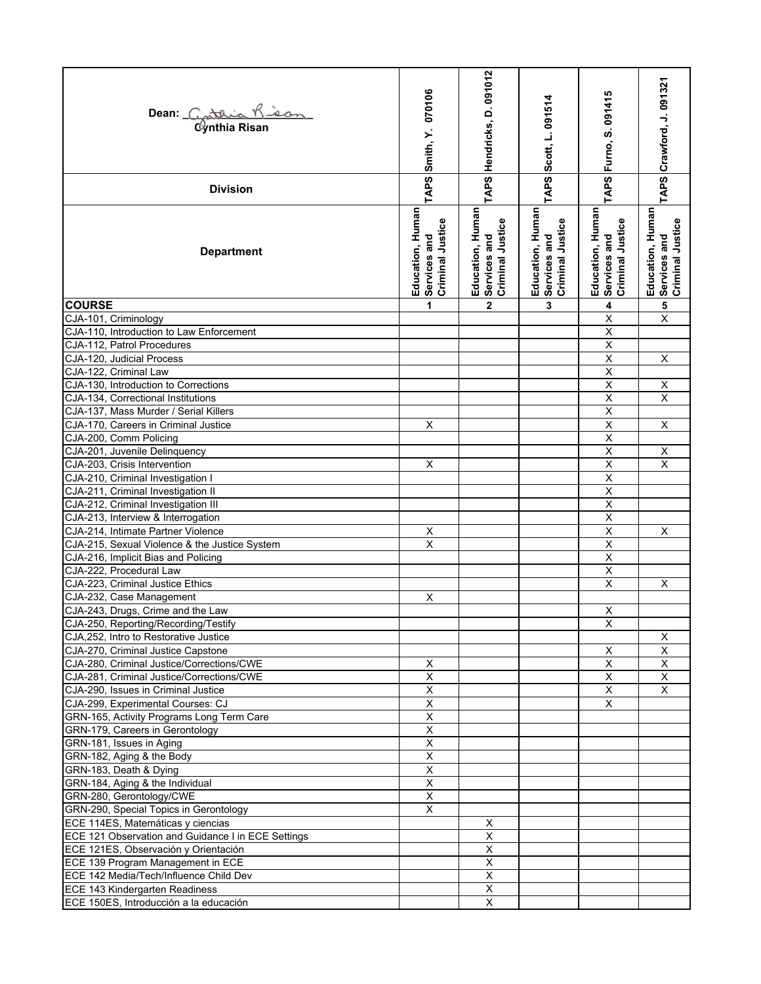| Dean: Cathia Kisan                                 | TAPS Smith, Y. 070106                                | TAPS Hendricks, D. 091012                            | TAPS Scott, L. 091514                                | Furno, S. 091415                                     | TAPS Crawford, J. 091321                             |
|----------------------------------------------------|------------------------------------------------------|------------------------------------------------------|------------------------------------------------------|------------------------------------------------------|------------------------------------------------------|
| <b>Division</b>                                    |                                                      |                                                      |                                                      | TAPS                                                 |                                                      |
| <b>Department</b>                                  | Education, Human<br>Services and<br>Criminal Justice | Education, Human<br>Services and<br>Criminal Justice | Education, Human<br>Services and<br>Criminal Justice | Education, Human<br>Services and<br>Criminal Justice | Education, Human<br>Services and<br>Criminal Justice |
| <b>COURSE</b>                                      | 1                                                    | $\mathbf{2}$                                         | 3                                                    | 4                                                    | 5                                                    |
| CJA-101, Criminology                               |                                                      |                                                      |                                                      | $\overline{X}$                                       | $\overline{\mathsf{x}}$                              |
| CJA-110, Introduction to Law Enforcement           |                                                      |                                                      |                                                      | $\overline{\mathsf{x}}$                              |                                                      |
| CJA-112, Patrol Procedures                         |                                                      |                                                      |                                                      | $\overline{X}$                                       |                                                      |
| CJA-120, Judicial Process                          |                                                      |                                                      |                                                      | $\sf X$                                              | X                                                    |
| CJA-122, Criminal Law                              |                                                      |                                                      |                                                      | $\sf X$                                              |                                                      |
| CJA-130, Introduction to Corrections               |                                                      |                                                      |                                                      | $\overline{\mathsf{x}}$                              | $\overline{X}$                                       |
| CJA-134, Correctional Institutions                 |                                                      |                                                      |                                                      | $\overline{\mathsf{x}}$                              | $\overline{\mathsf{x}}$                              |
| CJA-137, Mass Murder / Serial Killers              |                                                      |                                                      |                                                      | Χ                                                    |                                                      |
| CJA-170, Careers in Criminal Justice               | X                                                    |                                                      |                                                      | Χ                                                    | X                                                    |
| CJA-200, Comm Policing                             |                                                      |                                                      |                                                      | $\overline{\mathsf{x}}$                              |                                                      |
| CJA-201, Juvenile Delinquency                      |                                                      |                                                      |                                                      | $\overline{\mathsf{x}}$                              | Χ                                                    |
| CJA-203, Crisis Intervention                       | $\sf X$                                              |                                                      |                                                      | $\overline{\mathsf{x}}$                              | $\overline{\mathsf{x}}$                              |
| CJA-210, Criminal Investigation I                  |                                                      |                                                      |                                                      | $\pmb{\mathsf{X}}$                                   |                                                      |
| CJA-211, Criminal Investigation II                 |                                                      |                                                      |                                                      | $\overline{X}$                                       |                                                      |
| CJA-212, Criminal Investigation III                |                                                      |                                                      |                                                      | $\overline{\mathsf{x}}$                              |                                                      |
| CJA-213, Interview & Interrogation                 |                                                      |                                                      |                                                      | $\overline{\mathsf{x}}$                              |                                                      |
| CJA-214, Intimate Partner Violence                 |                                                      |                                                      |                                                      | $\sf X$                                              | X                                                    |
| CJA-215, Sexual Violence & the Justice System      |                                                      |                                                      |                                                      | Χ                                                    |                                                      |
| CJA-216, Implicit Bias and Policing                |                                                      |                                                      |                                                      | $\overline{X}$                                       |                                                      |
| CJA-222, Procedural Law                            |                                                      |                                                      |                                                      | $\overline{\mathsf{x}}$                              |                                                      |
| CJA-223. Criminal Justice Ethics                   |                                                      |                                                      |                                                      | $\sf X$                                              | X                                                    |
| CJA-232, Case Management                           | X                                                    |                                                      |                                                      |                                                      |                                                      |
| CJA-243, Drugs, Crime and the Law                  |                                                      |                                                      |                                                      | Χ                                                    |                                                      |
| CJA-250, Reporting/Recording/Testify               |                                                      |                                                      |                                                      | $\overline{\mathsf{x}}$                              |                                                      |
| CJA, 252, Intro to Restorative Justice             |                                                      |                                                      |                                                      |                                                      | х                                                    |
| CJA-270, Criminal Justice Capstone                 |                                                      |                                                      |                                                      | X                                                    | X                                                    |
| CJA-280, Criminal Justice/Corrections/CWE          | X                                                    |                                                      |                                                      | X                                                    | X                                                    |
| CJA-281, Criminal Justice/Corrections/CWE          | $\mathsf X$<br>$\overline{\mathsf{x}}$               |                                                      |                                                      | $\mathsf X$                                          | X                                                    |
| CJA-290, Issues in Criminal Justice                |                                                      |                                                      |                                                      | $\overline{\mathsf{x}}$                              | $\times$                                             |
| CJA-299, Experimental Courses: CJ                  | $\overline{X}$                                       |                                                      |                                                      | X                                                    |                                                      |
| GRN-165, Activity Programs Long Term Care          | $\mathsf X$                                          |                                                      |                                                      |                                                      |                                                      |
| GRN-179, Careers in Gerontology                    | X                                                    |                                                      |                                                      |                                                      |                                                      |
| GRN-181, Issues in Aging                           | $\overline{X}$                                       |                                                      |                                                      |                                                      |                                                      |
| GRN-182, Aging & the Body                          | $\overline{\mathsf{x}}$                              |                                                      |                                                      |                                                      |                                                      |
| GRN-183, Death & Dying                             | $\overline{X}$                                       |                                                      |                                                      |                                                      |                                                      |
| GRN-184, Aging & the Individual                    | X                                                    |                                                      |                                                      |                                                      |                                                      |
| GRN-280, Gerontology/CWE                           | $\mathsf X$                                          |                                                      |                                                      |                                                      |                                                      |
| GRN-290, Special Topics in Gerontology             | X                                                    |                                                      |                                                      |                                                      |                                                      |
| ECE 114ES, Matemáticas y ciencias                  |                                                      | X                                                    |                                                      |                                                      |                                                      |
| ECE 121 Observation and Guidance I in ECE Settings |                                                      | X                                                    |                                                      |                                                      |                                                      |
| ECE 121ES, Observación y Orientación               |                                                      | X                                                    |                                                      |                                                      |                                                      |
| ECE 139 Program Management in ECE                  |                                                      | X                                                    |                                                      |                                                      |                                                      |
| ECE 142 Media/Tech/Influence Child Dev             |                                                      | $\overline{\mathsf{x}}$                              |                                                      |                                                      |                                                      |
| ECE 143 Kindergarten Readiness                     |                                                      | $\overline{X}$                                       |                                                      |                                                      |                                                      |
| ECE 150ES, Introducción a la educación             |                                                      | X                                                    |                                                      |                                                      |                                                      |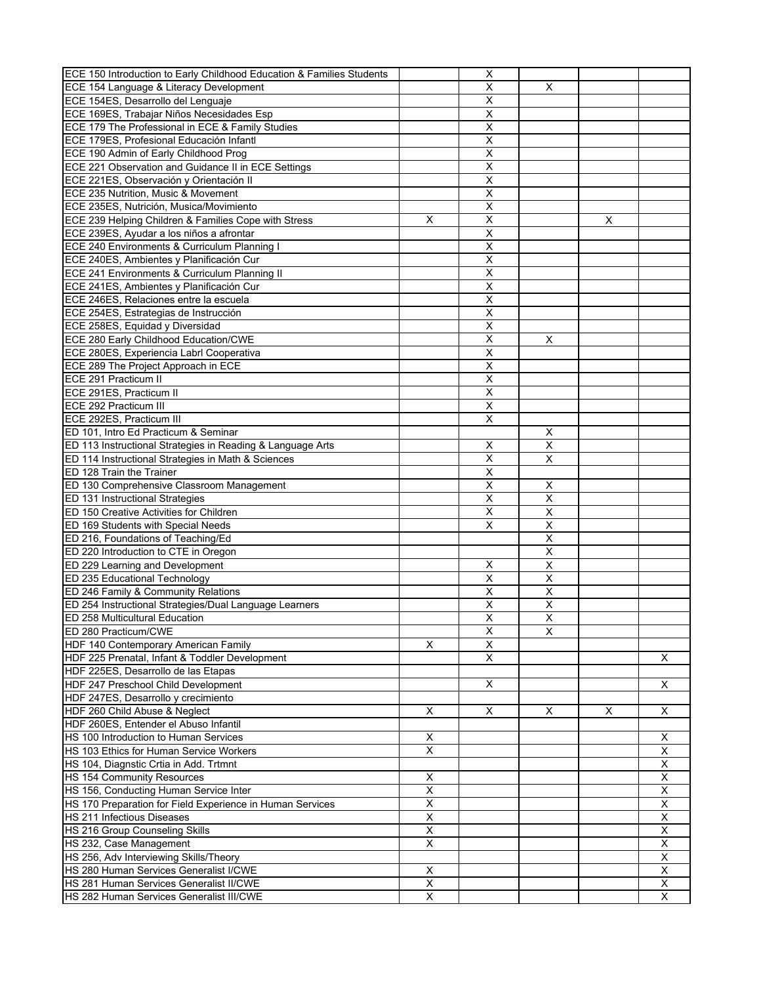| ECE 150 Introduction to Early Childhood Education & Families Students |                         | $\pmb{\mathsf{X}}$      |                         |   |                         |
|-----------------------------------------------------------------------|-------------------------|-------------------------|-------------------------|---|-------------------------|
| ECE 154 Language & Literacy Development                               |                         | X                       | X                       |   |                         |
| ECE 154ES, Desarrollo del Lenguaje                                    |                         | X                       |                         |   |                         |
| ECE 169ES, Trabajar Niños Necesidades Esp                             |                         | X                       |                         |   |                         |
| ECE 179 The Professional in ECE & Family Studies                      |                         | $\mathsf X$             |                         |   |                         |
| ECE 179ES, Profesional Educación Infantl                              |                         | $\overline{X}$          |                         |   |                         |
| ECE 190 Admin of Early Childhood Prog                                 |                         | $\overline{\mathsf{x}}$ |                         |   |                         |
| ECE 221 Observation and Guidance II in ECE Settings                   |                         | X                       |                         |   |                         |
| ECE 221ES, Observación y Orientación II                               |                         | Χ                       |                         |   |                         |
| ECE 235 Nutrition, Music & Movement                                   |                         | $\overline{X}$          |                         |   |                         |
|                                                                       |                         | $\overline{\mathsf{x}}$ |                         |   |                         |
| ECE 235ES, Nutrición, Musica/Movimiento                               |                         |                         |                         |   |                         |
| ECE 239 Helping Children & Families Cope with Stress                  | X                       | X                       |                         | X |                         |
| ECE 239ES, Ayudar a los niños a afrontar                              |                         | $\overline{X}$          |                         |   |                         |
| ECE 240 Environments & Curriculum Planning I                          |                         | X                       |                         |   |                         |
| ECE 240ES, Ambientes y Planificación Cur                              |                         | $\overline{\mathsf{x}}$ |                         |   |                         |
| ECE 241 Environments & Curriculum Planning II                         |                         | $\sf X$                 |                         |   |                         |
| ECE 241ES, Ambientes y Planificación Cur                              |                         | $\overline{\mathsf{x}}$ |                         |   |                         |
| ECE 246ES, Relaciones entre la escuela                                |                         | X                       |                         |   |                         |
| ECE 254ES, Estrategias de Instrucción                                 |                         | $\overline{X}$          |                         |   |                         |
| ECE 258ES, Equidad y Diversidad                                       |                         | $\overline{\mathsf{x}}$ |                         |   |                         |
| <b>ECE 280 Early Childhood Education/CWE</b>                          |                         | $\overline{X}$          | Χ                       |   |                         |
| ECE 280ES, Experiencia Labrl Cooperativa                              |                         | $\sf X$                 |                         |   |                         |
| ECE 289 The Project Approach in ECE                                   |                         | X                       |                         |   |                         |
| ECE 291 Practicum II                                                  |                         | $\overline{\mathsf{x}}$ |                         |   |                         |
| ECE 291ES, Practicum II                                               |                         | $\overline{\mathsf{x}}$ |                         |   |                         |
| ECE 292 Practicum III                                                 |                         | $\sf X$                 |                         |   |                         |
| ECE 292ES, Practicum III                                              |                         | X                       |                         |   |                         |
| ED 101, Intro Ed Practicum & Seminar                                  |                         |                         |                         |   |                         |
| ED 113 Instructional Strategies in Reading & Language Arts            |                         | X                       | $\frac{x}{x}$           |   |                         |
| ED 114 Instructional Strategies in Math & Sciences                    |                         | $\overline{\mathsf{x}}$ | $\overline{\mathsf{x}}$ |   |                         |
| ED 128 Train the Trainer                                              |                         | X                       |                         |   |                         |
| ED 130 Comprehensive Classroom Management                             |                         | X                       | х                       |   |                         |
|                                                                       |                         | X                       | X                       |   |                         |
| ED 131 Instructional Strategies                                       |                         |                         | $\overline{\mathsf{x}}$ |   |                         |
| ED 150 Creative Activities for Children                               |                         | $\overline{\mathsf{x}}$ |                         |   |                         |
| ED 169 Students with Special Needs                                    |                         | X                       | $\overline{\mathsf{x}}$ |   |                         |
| ED 216, Foundations of Teaching/Ed                                    |                         |                         | X                       |   |                         |
| ED 220 Introduction to CTE in Oregon                                  |                         |                         | Χ                       |   |                         |
| ED 229 Learning and Development                                       |                         | X                       | $\overline{\mathsf{x}}$ |   |                         |
| ED 235 Educational Technology                                         |                         | $\overline{\mathsf{x}}$ | $\overline{\mathsf{x}}$ |   |                         |
| ED 246 Family & Community Relations                                   |                         | X                       | Χ                       |   |                         |
| ED 254 Instructional Strategies/Dual Language Learners                |                         | X                       | Χ                       |   |                         |
| <b>ED 258 Multicultural Education</b>                                 |                         | $\overline{\mathsf{x}}$ | $\overline{\mathsf{x}}$ |   |                         |
| ED 280 Practicum/CWE                                                  |                         | X                       | X                       |   |                         |
| HDF 140 Contemporary American Family                                  | X                       | $\overline{\mathsf{x}}$ |                         |   |                         |
| HDF 225 Prenatal, Infant & Toddler Development                        |                         | X                       |                         |   | Χ                       |
| HDF 225ES, Desarrollo de las Etapas                                   |                         |                         |                         |   |                         |
| HDF 247 Preschool Child Development                                   |                         | X                       |                         |   | X                       |
| HDF 247ES, Desarrollo y crecimiento                                   |                         |                         |                         |   |                         |
| HDF 260 Child Abuse & Neglect                                         | X                       | X                       | X                       | X | X                       |
| HDF 260ES, Entender el Abuso Infantil                                 |                         |                         |                         |   |                         |
| HS 100 Introduction to Human Services                                 | X                       |                         |                         |   | X                       |
| HS 103 Ethics for Human Service Workers                               | $\overline{\mathsf{x}}$ |                         |                         |   | X                       |
| HS 104, Diagnstic Crtia in Add. Trtmnt                                |                         |                         |                         |   | X                       |
| <b>HS 154 Community Resources</b>                                     | X                       |                         |                         |   | X                       |
| HS 156, Conducting Human Service Inter                                | Χ                       |                         |                         |   | X                       |
| HS 170 Preparation for Field Experience in Human Services             | $\overline{\mathsf{x}}$ |                         |                         |   | $\overline{\mathsf{x}}$ |
| HS 211 Infectious Diseases                                            | X                       |                         |                         |   | X                       |
|                                                                       |                         |                         |                         |   |                         |
| HS 216 Group Counseling Skills                                        | Χ                       |                         |                         |   | X                       |
| HS 232, Case Management                                               | X                       |                         |                         |   | X                       |
| HS 256, Adv Interviewing Skills/Theory                                |                         |                         |                         |   | X                       |
| HS 280 Human Services Generalist I/CWE                                | X                       |                         |                         |   | X                       |
| HS 281 Human Services Generalist II/CWE                               | $\overline{\mathsf{x}}$ |                         |                         |   | X                       |
| HS 282 Human Services Generalist III/CWE                              | X                       |                         |                         |   | X                       |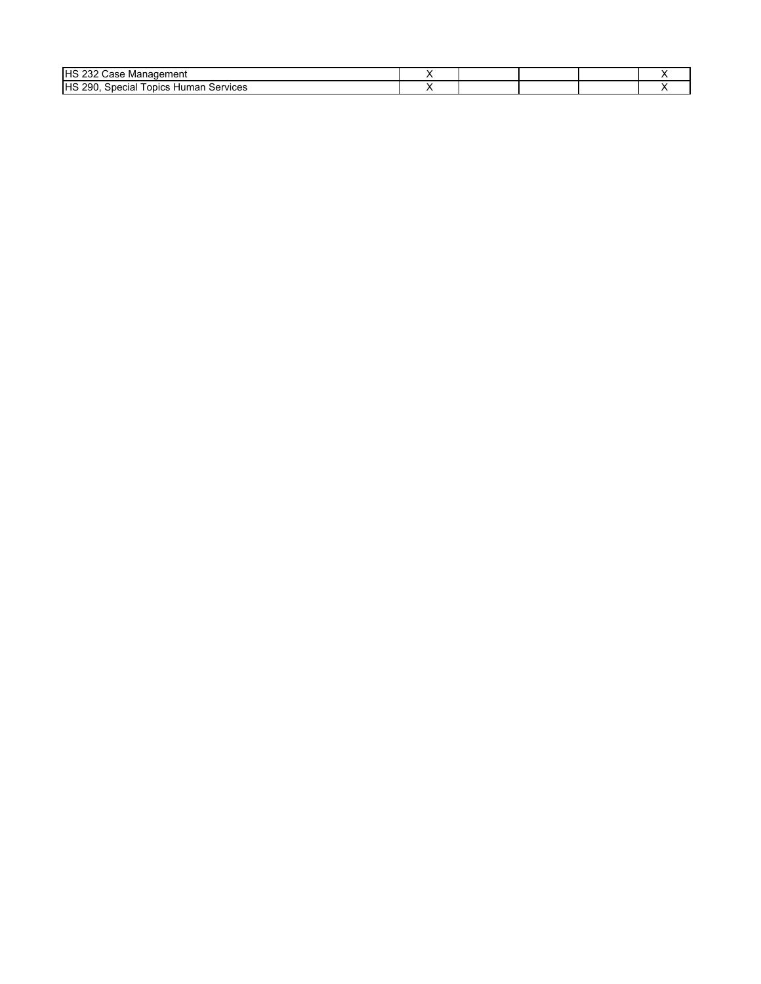| <b>IHS 23<sup>-</sup></b><br>' Case Management          |  |  |  |
|---------------------------------------------------------|--|--|--|
| <b>HS 290.</b><br>Services<br>opics<br>Human<br>Special |  |  |  |